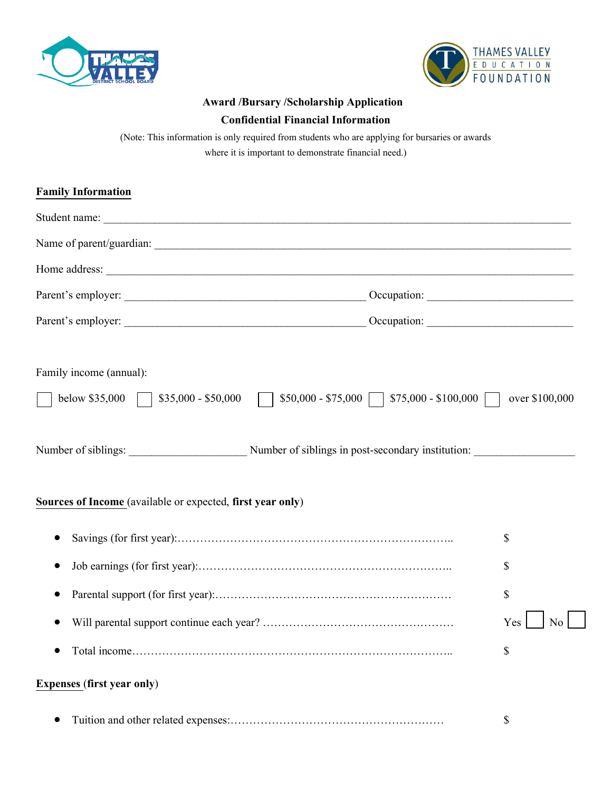



## **Award /Bursary /Scholarship Application**

## **Confidential Financial Information**

(Note: This information is only required from students who are applying for bursaries or awards where it is important to demonstrate financial need.)

| <b>Family Information</b>                                             |                                                                |
|-----------------------------------------------------------------------|----------------------------------------------------------------|
|                                                                       |                                                                |
|                                                                       |                                                                |
|                                                                       |                                                                |
|                                                                       |                                                                |
|                                                                       |                                                                |
| Family income (annual):<br>below \$35,000     \$35,000 - \$50,000     | $$50,000 - $75,000$   $$75,000 - $100,000$  <br>over \$100,000 |
| Number of siblings: Number of siblings in post-secondary institution: |                                                                |
| Sources of Income (available or expected, first year only)            |                                                                |
|                                                                       | \$                                                             |
|                                                                       | \$                                                             |
|                                                                       | \$                                                             |
|                                                                       | $\overline{N_0}$<br>Yes                                        |
|                                                                       | \$                                                             |
| <b>Expenses (first year only)</b>                                     |                                                                |

• Tuition and other related expenses:………………………………………………… \$